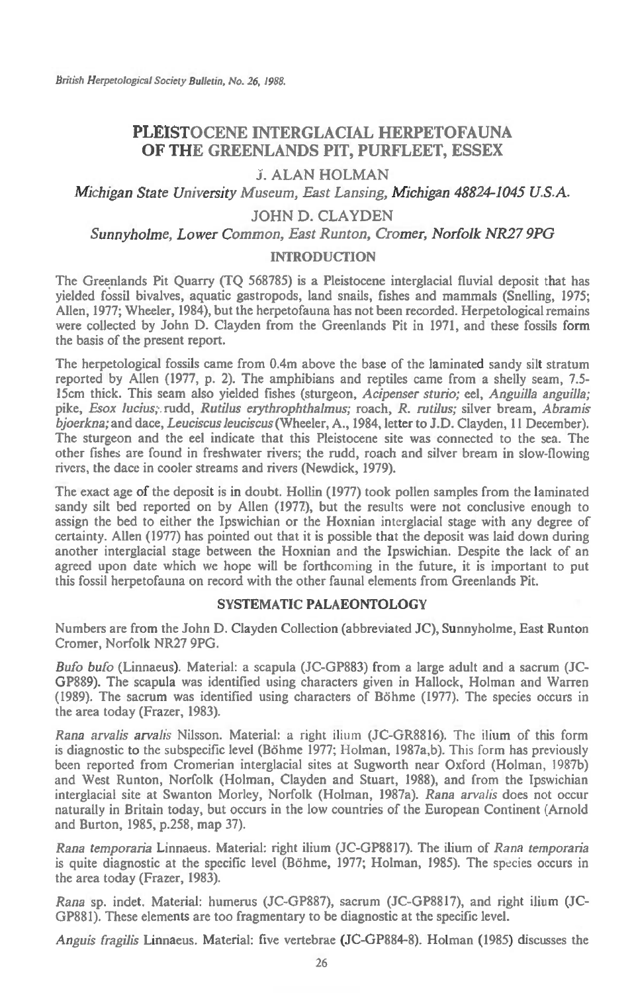# **PLEISTOCENE INTERGLACIAL HERPETOFAUNA OF THE GREENLANDS PIT, PURFLEET, ESSEX**

# **J. ALAN HOLMAN**

*Michigan State University Museum, Fast Lansing, Michigan 48824-1045 U.S.A.* 

# **JOHN D. CLAYDEN**

*Sunnyholme, Lower Common, East Runton, Cromer, Norfolk NR27 9PG* 

## **INTRODUCTION**

**The Greenlands Pit Quarry (TQ 568785) is a Pleistocene interglacial fluvial deposit that has yielded fossil bivalves, aquatic gastropods, land snails, fishes and mammals (Snelling, 1975; Allen, 1977; Wheeler, 1984), but the herpetofauna has not been recorded. Herpetological remains were collected by John D. Clayden from the Greenlands Pit in 1971, and these fossils form the basis of the present report.** 

**The herpetological fossils came from 0.4m above the base of the laminated sandy silt stratum reported by Allen (1977, p. 2). The amphibians and reptiles came from a shelly seam, 7.5- 15cm thick. This seam also yielded fishes (sturgeon,** *Acipenser sturio; eel, Anguilla anguilla;*  **pike,** *Esox lucius;..rudd, Rutilus erythrophthalmus;* **roach,** *R. rutilus;* **silver bream,** *Abramis bjoerkna;* **and dace,** *Leuciscus leuciscus* **(Wheeler, A., 1984, letter to J.D. Clayden, 11 December). The sturgeon and the eel indicate that this Pleistocene site was connected to the sea. The other fishes are found in freshwater rivers; the rudd, roach and silver bream in slow-flowing rivers, the dace in cooler streams and rivers (Newdick, 1979).** 

**The exact age of the deposit is in doubt. Hollin (1977) took pollen samples from the laminated sandy silt bed reported on by Allen (1977), but the results were not conclusive enough to assign the bed to either the Ipswichian or the Hoxnian interglacial stage with any degree of certainty. Allen (1977) has pointed out that it is possible that the deposit was laid down during another interglacial stage between the Hoxnian and the Ipswichian. Despite the lack of an agreed upon date which we hope will be forthcoming in the future, it is important to put this fossil herpetofauna on record with the other faunal elements from Greenlands Pit.** 

## **SYSTEMATIC PALAEONTOLOGY**

**Numbers are from the John D. Clayden Collection (abbreviated JC), Sunnyholme, East Runton Cromer, Norfolk NR27 9PG.** 

*Bufo bufo* **(Linnaeus). Material: a scapula (JC-GP883) from a large adult and a sacrum (JC-GP889). The scapula was identified using characters given in Hallock, Holman and Warren (1989). The sacrum was identified using characters of Bohme (1977). The species occurs in the area today (Frazer, 1983).** 

*Rana arvalis arvalis* **Nilsson. Material: a right** ilium **(JC-GR8816). The** ilium **of this form is diagnostic to the subspecific level (Bohme 1977; Holman, 1987a,b). This form has previously been reported from Cromerian interglacial sites at Sugworth near Oxford (Holman, 1987b) and West Runton, Norfolk (Holman, Clayden and Stuart, 1988), and from the Ipswichian interglacial site at Swanton Morley, Norfolk (Holman, 1987a). Rana** *arvalis* **does not occur naturally in Britain today, but occurs in the low countries of the European Continent (Arnold and Burton, 1985, p.258, map 37).** 

*Rana temporaria* **Linnaeus. Material: right ilium (JC-GP8817). The ilium of** *Rana temporaria*  **is quite diagnostic at the specific level (Bohme, 1977; Holman, 1985). The** species **occurs in the area today (Frazer, 1983).** 

*Rana* **sp. indet. Material: humerus (JC-GP887), sacrum (JC-GP8817), and right ilium (JC-GP881). These elements are too fragmentary to be diagnostic at the specific level.** 

*Anguis fragilis* **Linnaeus. Material: five vertebrae (JC-GP884-8). Holman (1985) discusses the**